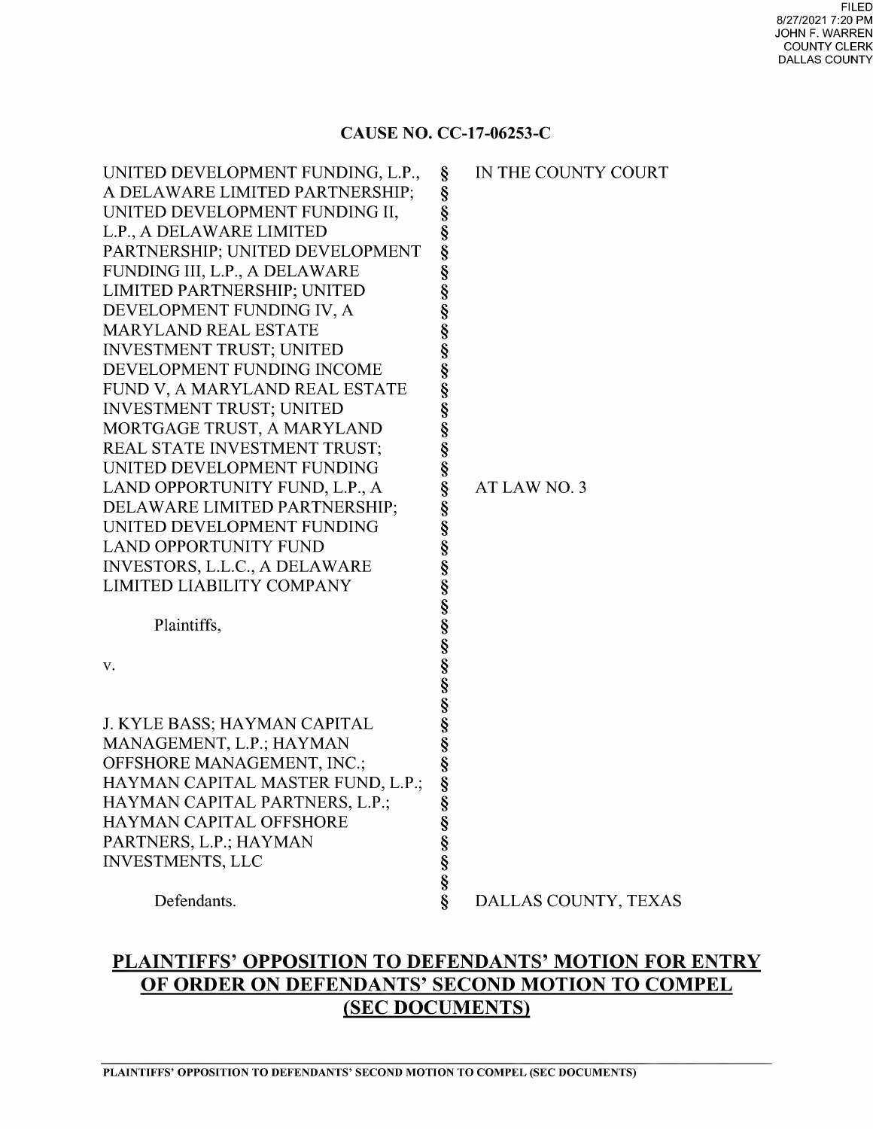#### CAUSE NO. CC-17-06253-C

| UNITED DEVELOPMENT FUNDING, L.P.,<br>A DELAWARE LIMITED PARTNERSHIP;<br>UNITED DEVELOPMENT FUNDING II,<br>L.P., A DELAWARE LIMITED<br>PARTNERSHIP; UNITED DEVELOPMENT<br>FUNDING III, L.P., A DELAWARE<br>LIMITED PARTNERSHIP; UNITED                                                                                                                                                                                                                                              | §<br>§<br>Ş<br>§<br>§<br>§<br>§                                    | IN THE COUNTY COURT  |
|------------------------------------------------------------------------------------------------------------------------------------------------------------------------------------------------------------------------------------------------------------------------------------------------------------------------------------------------------------------------------------------------------------------------------------------------------------------------------------|--------------------------------------------------------------------|----------------------|
| DEVELOPMENT FUNDING IV, A<br><b>MARYLAND REAL ESTATE</b><br><b>INVESTMENT TRUST; UNITED</b><br>DEVELOPMENT FUNDING INCOME<br>FUND V, A MARYLAND REAL ESTATE<br>INVESTMENT TRUST; UNITED<br>MORTGAGE TRUST, A MARYLAND<br>REAL STATE INVESTMENT TRUST;<br>UNITED DEVELOPMENT FUNDING<br>LAND OPPORTUNITY FUND, L.P., A<br>DELAWARE LIMITED PARTNERSHIP;<br>UNITED DEVELOPMENT FUNDING<br><b>LAND OPPORTUNITY FUND</b><br>INVESTORS, L.L.C., A DELAWARE<br>LIMITED LIABILITY COMPANY | §<br>S<br>S<br>S<br>S<br>S<br>S<br>§<br>§<br>Ş<br>§<br>S<br>S<br>S | AT LAW NO. 3         |
| Plaintiffs,<br>v.                                                                                                                                                                                                                                                                                                                                                                                                                                                                  | SS SS                                                              |                      |
| J. KYLE BASS; HAYMAN CAPITAL<br>MANAGEMENT, L.P.; HAYMAN<br>OFFSHORE MANAGEMENT, INC.;<br>HAYMAN CAPITAL MASTER FUND, L.P.;<br>HAYMAN CAPITAL PARTNERS, L.P.;<br><b>HAYMAN CAPITAL OFFSHORE</b><br>PARTNERS, L.P.; HAYMAN<br><b>INVESTMENTS, LLC</b>                                                                                                                                                                                                                               | §<br>§<br>Ş<br>ş<br>§<br>တ္တို့တာတာတာ                              |                      |
| Defendants.                                                                                                                                                                                                                                                                                                                                                                                                                                                                        |                                                                    | DALLAS COUNTY, TEXAS |

# PLAINTIFFS' OPPOSITION TO DEFENDANTS' MOTION FOR ENTRY OF ORDER ON DEFENDANTS' SECOND MOTION TO COMPEL (SEC DOCUMENTS)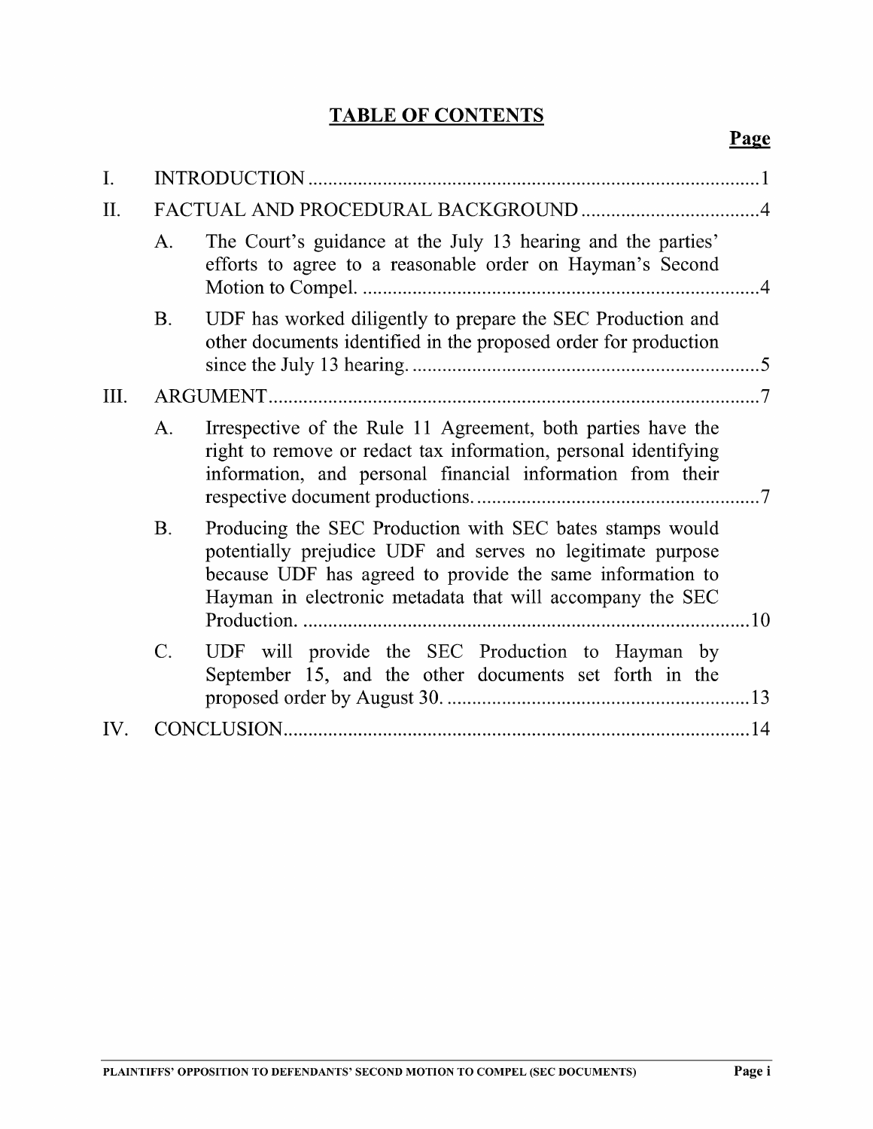# TABLE OF CONTENTS

| П.  |                 |                                                                                                                                                                                                                                                  |  |
|-----|-----------------|--------------------------------------------------------------------------------------------------------------------------------------------------------------------------------------------------------------------------------------------------|--|
|     | A.              | The Court's guidance at the July 13 hearing and the parties'<br>efforts to agree to a reasonable order on Hayman's Second                                                                                                                        |  |
|     | <b>B.</b>       | UDF has worked diligently to prepare the SEC Production and<br>other documents identified in the proposed order for production                                                                                                                   |  |
| Ш.  |                 | ARGUMENT.                                                                                                                                                                                                                                        |  |
|     | A.              | Irrespective of the Rule 11 Agreement, both parties have the<br>right to remove or redact tax information, personal identifying<br>information, and personal financial information from their                                                    |  |
|     | <b>B.</b>       | Producing the SEC Production with SEC bates stamps would<br>potentially prejudice UDF and serves no legitimate purpose<br>because UDF has agreed to provide the same information to<br>Hayman in electronic metadata that will accompany the SEC |  |
|     | $\mathcal{C}$ . | UDF will provide the SEC Production to Hayman by<br>September 15, and the other documents set forth in the                                                                                                                                       |  |
| IV. |                 |                                                                                                                                                                                                                                                  |  |
|     |                 |                                                                                                                                                                                                                                                  |  |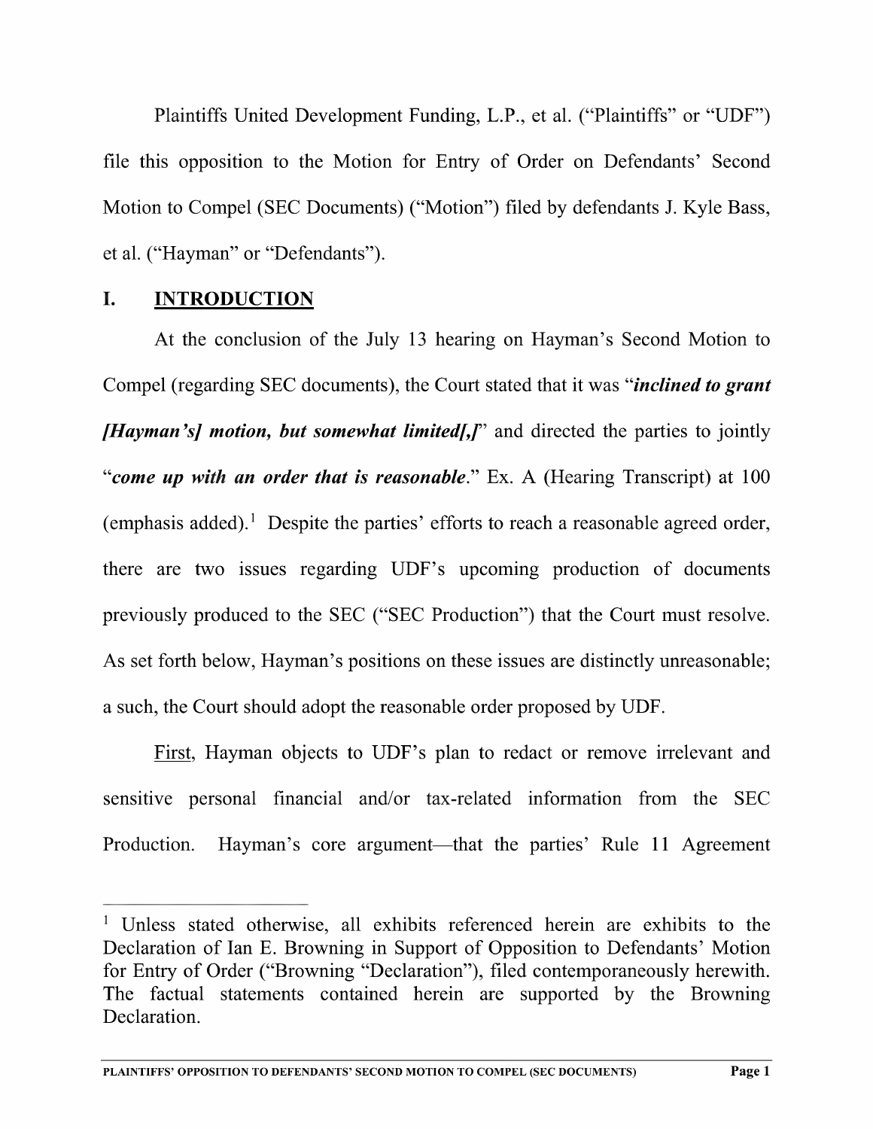Plaintiffs United Development Funding, L.P., et al. ("Plaintiffs" or "UDF") file this opposition to the Motion for Entry of Order on Defendants' Second Motion to Compel (SEC Documents) ("Motion") filed by defendants J. Kyle Bass, et a1. ("Hayman" or "Defendants").

# I. INTRODUCTION

At the conclusion of the July <sup>13</sup> hearing on Hayman's Second Motion to Compel (regarding SEC documents), the Court stated that it was "*inclined to grant* **[Hayman's] motion, but somewhat limited[,]**" and directed the parties to jointly "come up with an order that is reasonable." Ex. A (Hearing Transcript) at  $100$ (emphasis added).<sup>1</sup> Despite the parties' efforts to reach a reasonable agreed order, there are two issues regarding UDF's upcoming production of documents previously produced to the SEC ("SEC Production") that the Court must resolve. As set forth below, Hayman's positions on these issues are distinctly unreasonable; such, the Court should adopt the reasonable order proposed by UDF.

First, Hayman objects to UDF's plan to redact or remove irrelevant and sensitive personal financial and/or tax-related information from the SEC Production. Hayman's core argument—that the parties' Rule <sup>11</sup> Agreement

<sup>&</sup>lt;sup>1</sup> Unless stated otherwise, all exhibits referenced herein are exhibits to the Declaration of Ian E. Browning in Support of Opposition to Defendants' Motion for Entry of Order ("Browning "Declaration"), filed contemporaneously herewith. The factual statements contained herein are supported by the Browning Declaration.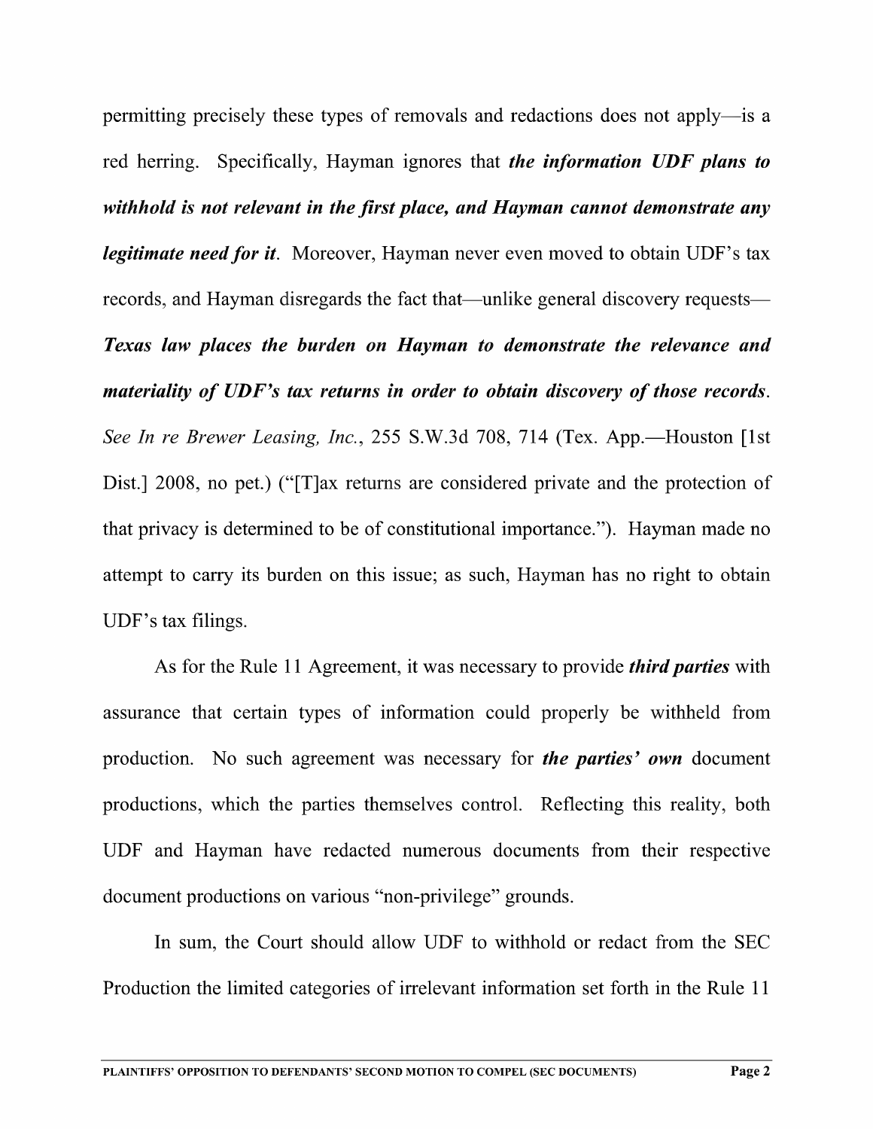permitting precisely these types of removals and redactions does not apply—is red herring. Specifically, Hayman ignores that *the information UDF plans to* withhold is not relevant in the first place, and Hayman cannot demonstrate any legitimate need for it. Moreover, Hayman never even moved to obtain UDF's tax records, and Hayman disregards the fact that—unlike general discovery requests— Texas law places the burden on Hayman to demonstrate the relevance and materiality of UDF's tax returns in order to obtain discovery of those records. See In re Brewer Leasing, Inc., 255 S.W.3d 708, 714 (Tex. App.—Houston [1st] Dist.] 2008, no pet.) ("[T]ax returns are considered private and the protection of that privacy is determined to be of constitutional importance"). Hayman made no attempt to carry its burden on this issue; as such, Hayman has no right to obtain UDF's tax filings.

As for the Rule 11 Agreement, it was necessary to provide *third parties* with assurance that certain types of information could properly be withheld from production. No such agreement was necessary for *the parties' own* document productions, which the parties themselves control. Reflecting this reality, both UDF and Hayman have redacted numerous documents from their respective document productions on various "non-privilege" grounds.

In sum, the Court should allow UDF to withhold or redact from the SEC Production the limited categories of irrelevant information set forth in the Rule <sup>11</sup>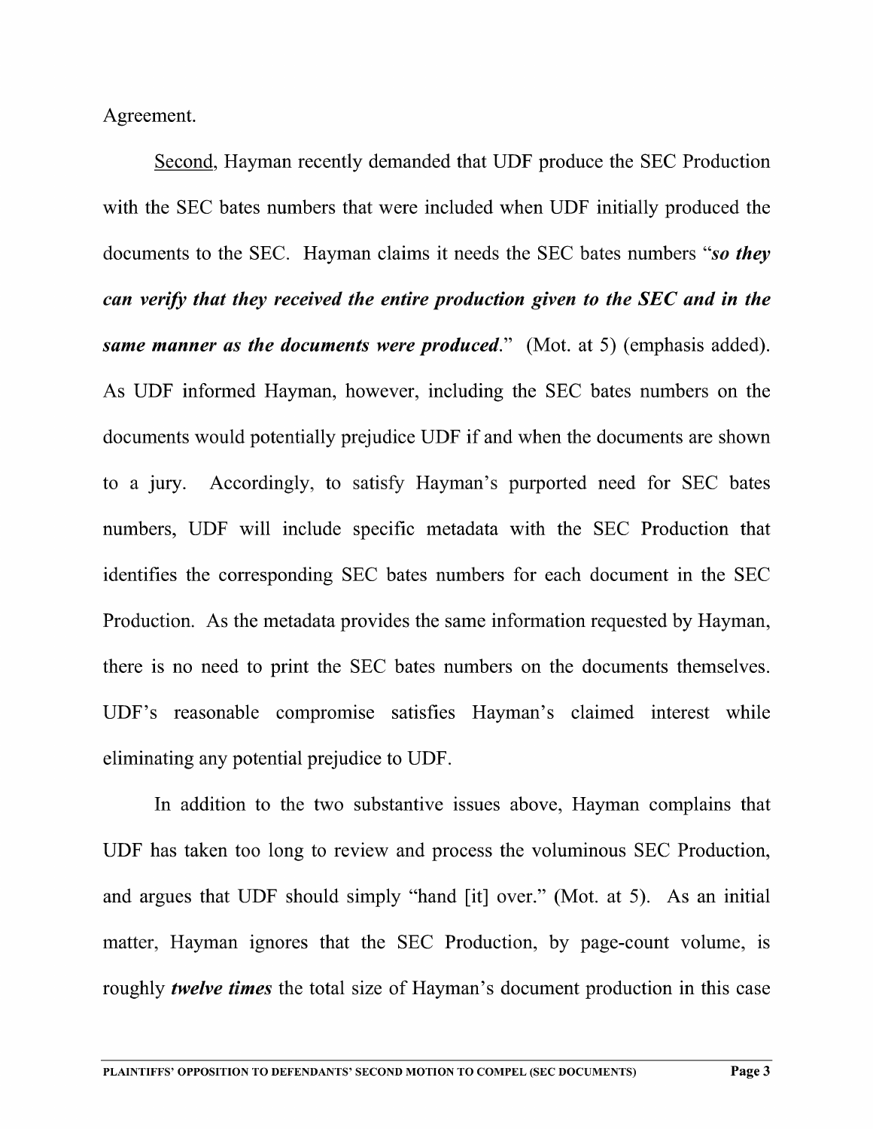Agreement.

Second, Hayman recently demanded that UDF produce the SEC Production with the SEC bates numbers that were included When UDF initially produced the documents to the SEC. Hayman claims it needs the SEC bates numbers "so they can verify that they received the entire production given to the SEC and in the same manner as the documents were produced." (Mot. at 5) (emphasis added). As UDF informed Hayman, however, including the SEC bates numbers on the documents would potentially prejudice UDF if and when the documents are shown to a jury. Accordingly, to satisfy Hayman's purported need for SEC bates numbers, UDF will include specific metadata with the SEC Production that identifies the corresponding SEC bates numbers for each document in the SEC Production. As the metadata provides the same information requested by Hayman, there is no need to print the SEC bates numbers on the documents themselves. UDF's reasonable compromise satisfies Hayman's claimed interest while eliminating any potential prejudice to UDF.

In addition to the two substantive issues above, Hayman complains that UDF has taken too long to review and process the voluminous SEC Production, and argues that UDF should simply "hand [it] over." (Mot. at 5). As an initial matter, Hayman ignores that the SEC Production, by page-count volume, is roughly *twelve times* the total size of Hayman's document production in this case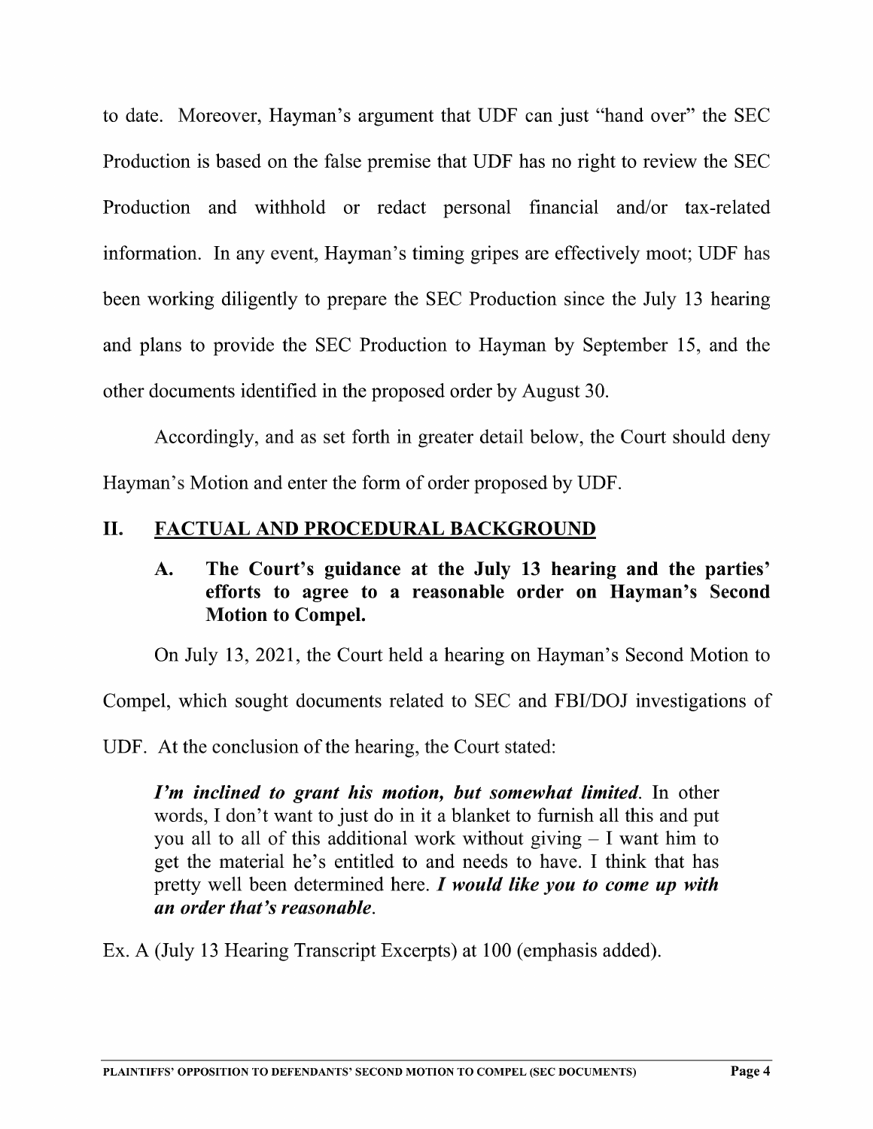to date. Moreover, Hayman's argument that UDF can just "hand over" the SEC Production is based on the false premise that UDF has no right to review the SEC Production and withhold or redact personal financial and/or tax-related information. In any event, Hayman's timing gripes are effectively moot; UDF has been working diligently to prepare the SEC Production since the July l3 hearing and plans to provide the SEC Production to Hayman by September 15, and the other documents identified in the proposed order by August 30.

Accordingly, and as set forth in greater detail below, the Court should deny Hayman's Motion and enter the form of order proposed by UDF.

# II. FACTUAL AND PROCEDURAL BACKGROUND

# A. The Court's guidance at the July 13 hearing and the parties' efforts to agree to a reasonable order on Hayman's Second Motion to Compel.

On July 13, 2021, the Court held a hearing on Hayman's Second Motion to

Compel, which sought documents related to SEC and FBI/DOJ investigations of

UDF. At the conclusion of the hearing, the Court stated:

I'm inclined to grant his motion, but somewhat limited. In other words, I don't want to just do in it a blanket to furnish all this and put you all to all of this additional work without giving  $-1$  want him to get the material he's entitled to and needs to have. I think that has pretty well been determined here.  $I$  would like you to come up with an order that's reasonable.

Ex. A (July 13 Hearing Transcript Excerpts) at 100 (emphasis added).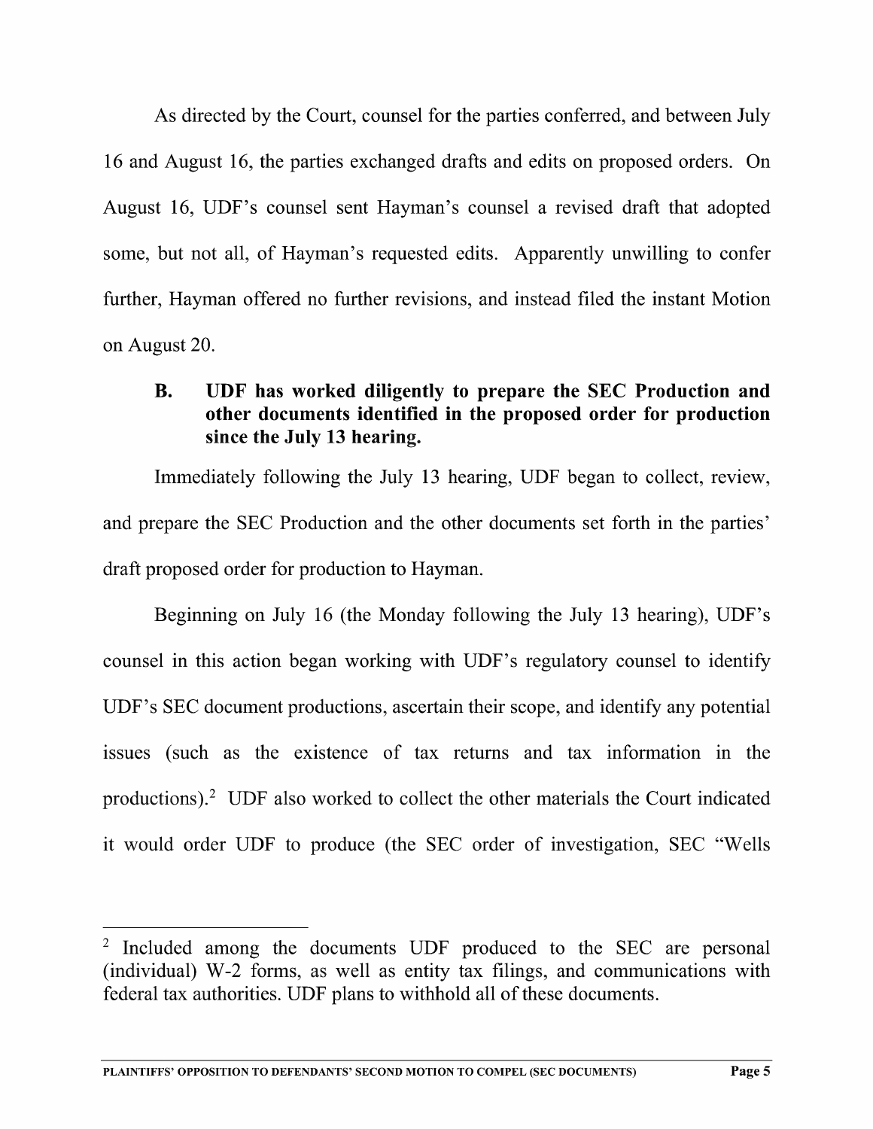As directed by the Court, counsel for the parties conferred, and between July 16 and August 16, the parties exchanged drafts and edits on proposed orders. On August 16, UDF's counsel sent Hayman's counsel a revised draft that adopted some, but not all, of Hayman's requested edits. Apparently unwilling to confer further, Hayman offered no further revisions, and instead filed the instant Motion on August 20.

# B. UDF has worked diligently to prepare the SEC Production and other documents identified in the proposed order for production since the July <sup>13</sup> hearing.

Immediately following the July <sup>13</sup> hearing, UDF began to collect, review, and prepare the SEC Production and the other documents set forth in the parties' draft proposed order for production to Hayman.

Beginning on July <sup>16</sup> (the Monday following the July <sup>13</sup> hearing), UDF'S counsel in this action began working with UDF's regulatory counsel to identify UDF's SEC document productions, ascertain their scope, and identify any potential issues (such as the existence of tax returns and tax information in the productions)? UDF also worked to collect the other materials the Court indicated it would order UDF to produce (the SEC order of investigation, SEC "Wells

<sup>&</sup>lt;sup>2</sup> Included among the documents UDF produced to the SEC are personal (individual) W-2 forms, as well as entity tax filings, and communications with federal tax authorities. UDF plans to withhold all of these documents.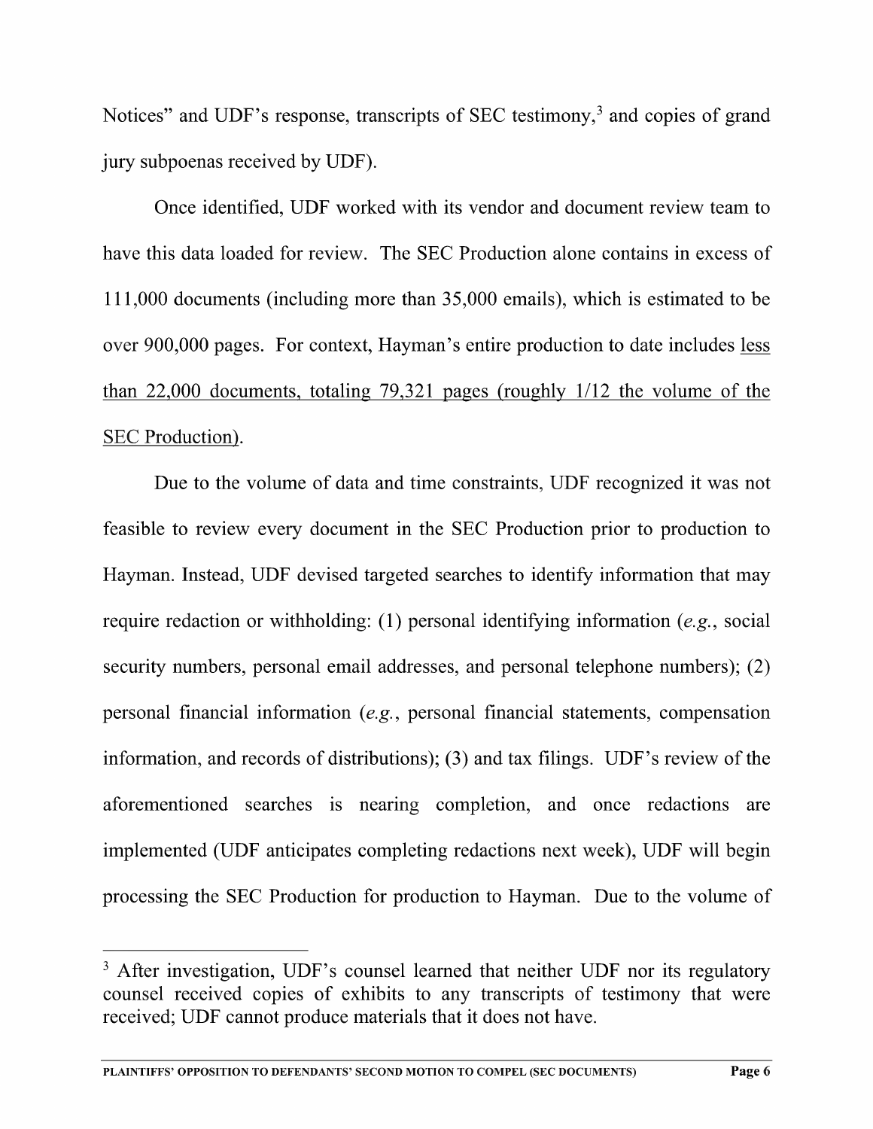Notices" and UDF's response, transcripts of SEC testimony,<sup>3</sup> and copies of grand jury subpoenas received by UDF).

Once identified, UDF worked with its vendor and document review team to have this data loaded for review. The SEC Production alone contains in excess of 111,000 documents (including more than 35,000 emails), which is estimated to be over 900,000 pages. For context, Hayman's entire production to date includes less than 22,000 documents, totaling 79,321 pages (roughly 1/12 the volume of the SEC Production).

Due to the volume of data and time constraints, UDF recognized it was not feasible to review every document in the SEC Production prior to production to Hayman. Instead, UDF devised targeted searches to identify information that may require redaction or withholding: (1) personal identifying information (e.g., social security numbers, personal email addresses, and personal telephone numbers); (2) personal financial information (e.g., personal financial statements, compensation information, and records of distributions); (3) and tax filings. UDF's review of the aforementioned searches is nearing completion, and once redactions are implemented (UDF anticipates completing redactions next week), UDF will begin processing the SEC Production for production to Hayman. Due to the volume of

<sup>&</sup>lt;sup>3</sup> After investigation, UDF's counsel learned that neither UDF nor its regulatory counsel received copies of exhibits to any transcripts of testimony that were received; UDF cannot produce materials that it does not have.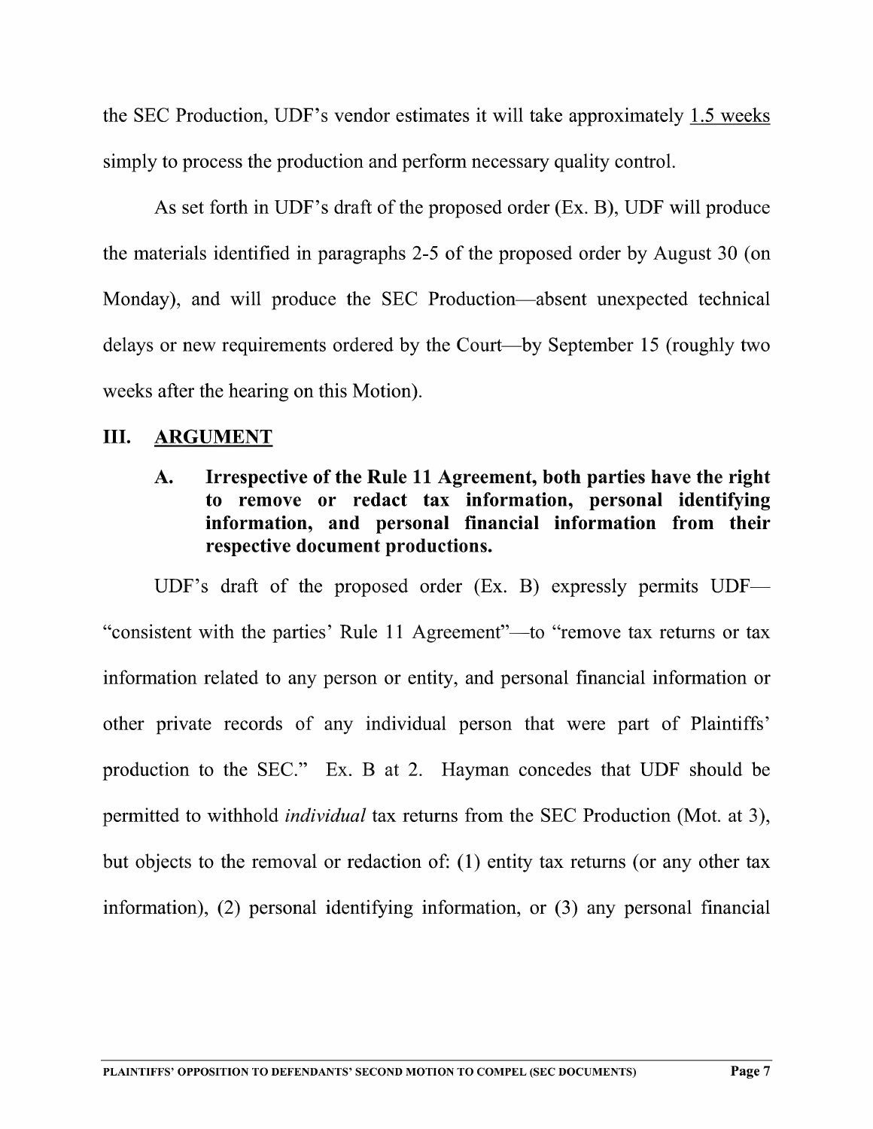the SEC Production, UDF's vendor estimates it will take approximately 1.5 weeks simply to process the production and perform necessary quality control.

As set forth in UDF's draft of the proposed order (EX. B), UDF will produce the materials identified in paragraphs 2-5 of the proposed order by August 30 (on Monday), and will produce the SEC Production—absent unexpected technical delays or new requirements ordered by the Court—by September <sup>15</sup> (roughly two weeks after the hearing on this Motion).

## III. ARGUMENT

# A. Irrespective of the Rule <sup>11</sup> Agreement, both parties have the right to remove or redact tax information, personal identifying information, and personal financial information from their respective document productions.

UDF's draft of the proposed order (Ex. B) expressly permits UDF— "consistent with the parties' Rule ll Agreement"—to "remove tax returns or tax information related to any person or entity, and personal financial information or other private records of any individual person that were part of Plaintiffs' production to the SEC." Ex. B at 2. Hayman concedes that UDF should be permitted to withhold individual tax returns from the SEC Production (Mot. at 3), but objects to the removal or redaction of: (1) entity tax returns (or any other tax information), (2) personal identifying information, or (3) any personal financial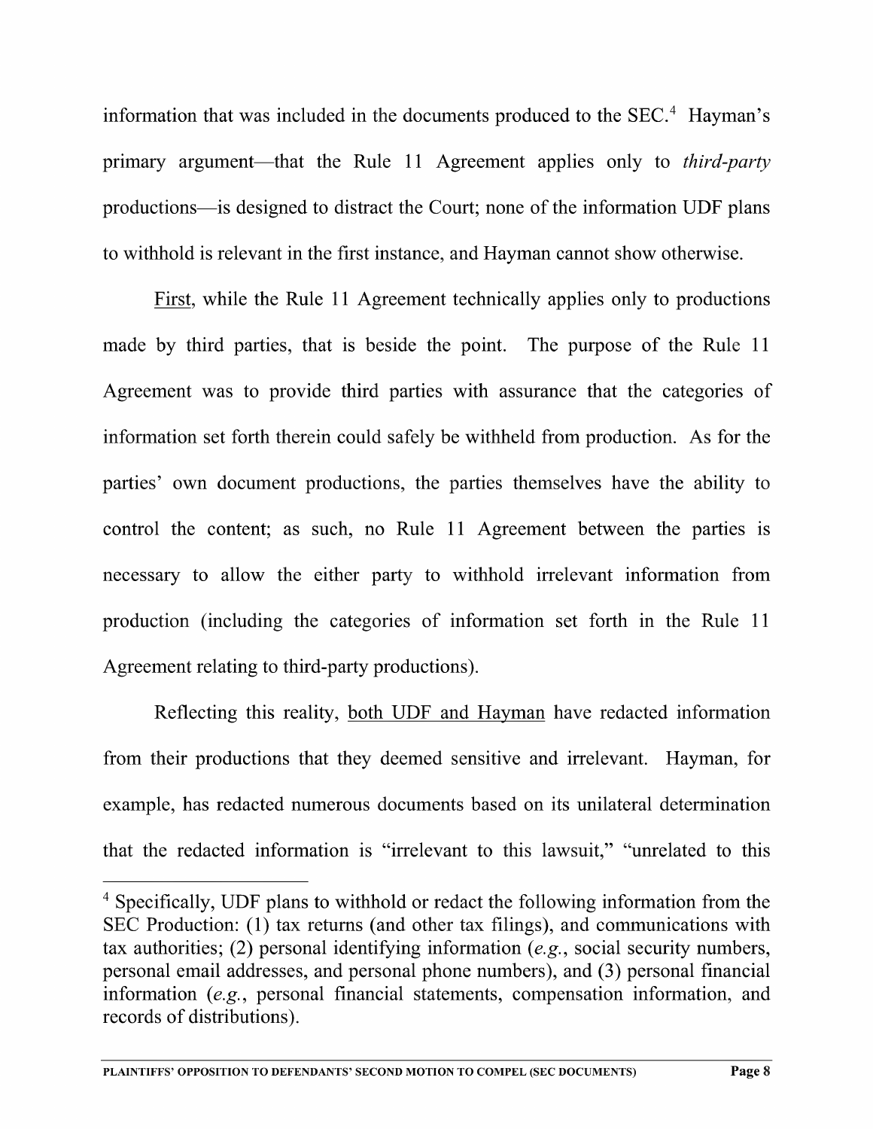information that was included in the documents produced to the  $SEC.<sup>4</sup>$  Hayman's primary argument—that the Rule 11 Agreement applies only to *third-party* productions—is designed to distract the Court; none of the information UDF plans to withhold is relevant in the first instance, and Hayman cannot show otherwise.

First, while the Rule 11 Agreement technically applies only to productions made by third parties, that is beside the point. The purpose of the Rule <sup>11</sup> Agreement was to provide third parties with assurance that the categories of information set forth therein could safely be withheld from production. As for the parties' own document productions, the parties themselves have the ability to control the content; as such, no Rule <sup>11</sup> Agreement between the parties is necessary to allow the either party to withhold irrelevant information from production (including the categories of information set forth in the Rule <sup>11</sup> Agreement relating to third-party productions).

Reflecting this reality, both UDF and Hayman have redacted information from their productions that they deemed sensitive and irrelevant. Hayman, for example, has redacted numerous documents based on its unilateral determination that the redacted information is "irrelevant to this lawsuit," "unrelated to this

<sup>&</sup>lt;sup>4</sup> Specifically, UDF plans to withhold or redact the following information from the  $SEC$  Production: (1) tax returns (and other tax filings), and communications with tax authorities; (2) personal identifying information (e.g., social security numbers, personal email addresses, and personal phone numbers), and (3) personal financial information (e.g., personal financial statements, compensation information, and records of distributions).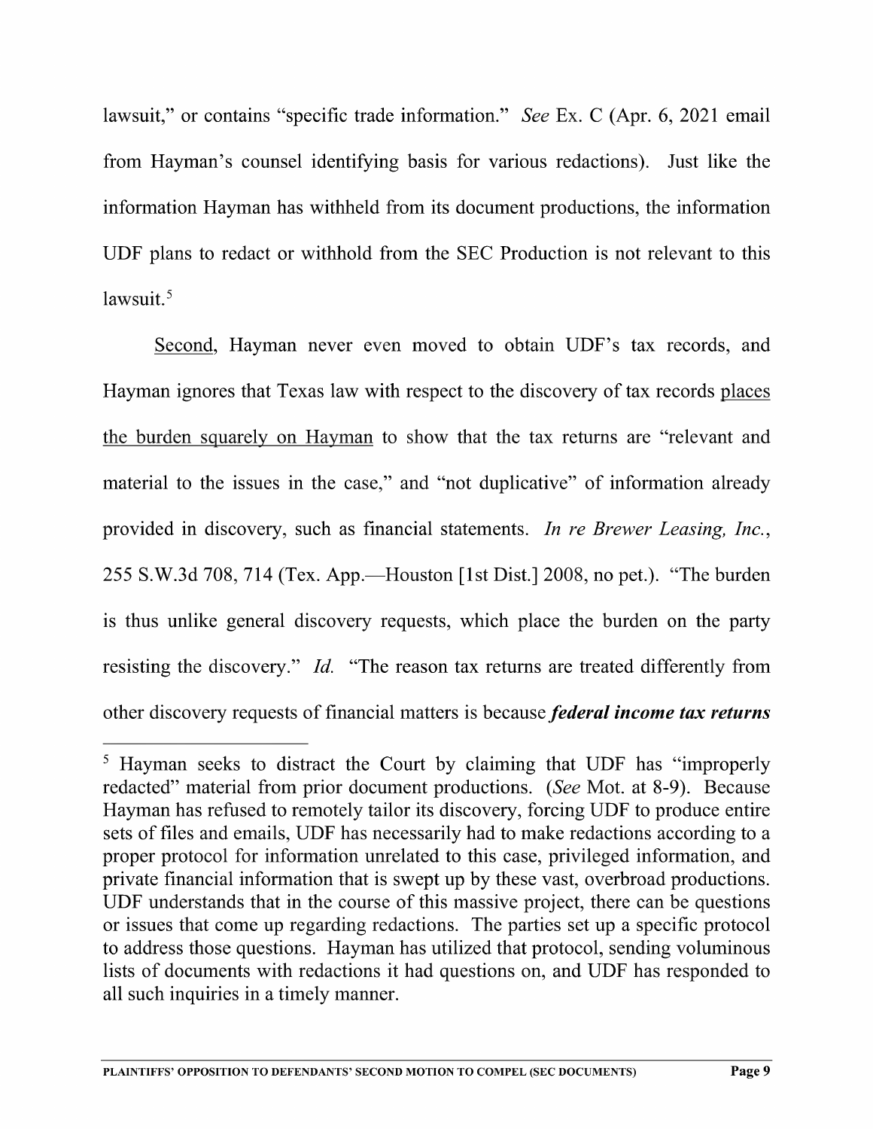lawsuit," or contains "specific trade information." See Ex. C (Apr. 6, 2021 email from Hayman's counsel identifying basis for various redactions). Just like the information Hayman has withheld from its document productions, the information UDF plans to redact or withhold from the SEC Production is not relevant to this  $l$ awsuit. $5$ 

Second, Hayman never even moved to obtain UDF's tax records, and Hayman ignores that Texas law with respect to the discovery of tax records pla the burden squarelv on Havman to show that the tax returns are "relevant and material to the issues in the case," and "not duplicative" of information already provided in discovery, such as financial statements. In re Brewer Leasing, Inc., 255 S.W.3d 708, 714 (Tex. App—Houston [1st Dist] 2008, no pet.). "The burden is thus unlike general discovery requests, which place the burden on the party resisting the discovery." *Id.* "The reason tax returns are treated differently from other discovery requests of financial matters is because federal income tax returns

<sup>&</sup>lt;sup>5</sup> Hayman seeks to distract the Court by claiming that UDF has "improperly redacted" material from prior document productions. (See Mot. at 8-9). Because Hayman has refused to remotely tailor its discovery, forcing UDF to produce entire sets of files and emails, UDF has necessarily had to make redactions according to a proper protocol for information unrelated to this case, privileged information, and private financial information that is swept up by these vast, overbroad productions. UDF understands that in the course of this massive project, there can be questions. or issues that come up regarding redactions. The parties set up a specific protocol to address those questions. Hayman has utilized that protocol, sending voluminous lists of documents with redactions it had questions on, and UDF has responded to all such inquiries in timely manner.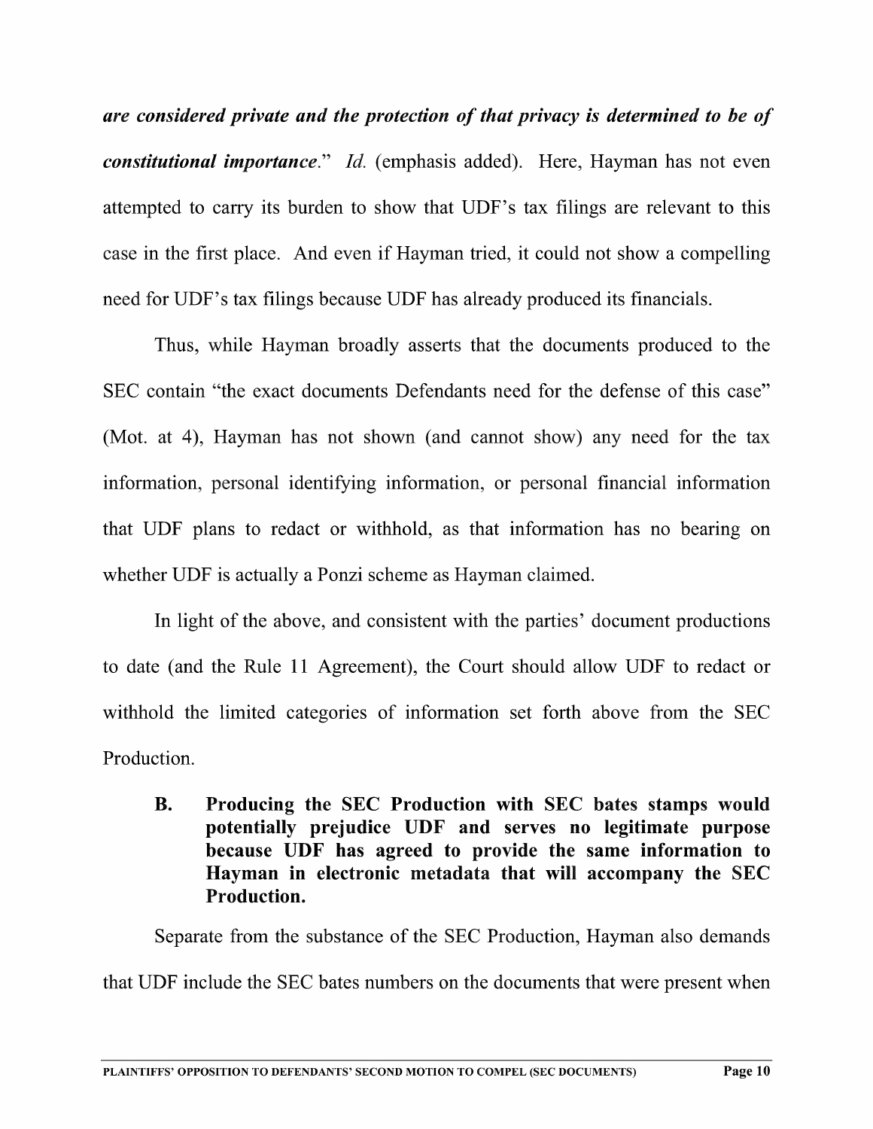are considered private and the protection of that privacy is determined to be of *constitutional importance.*" Id. (emphasis added). Here, Hayman has not even attempted to carry its burden to show that UDF's tax filings are relevant to this case in the first place. And even if Hayman tried, it could not show a compelling need for UDF's tax filings because UDF has already produced its financials.

Thus, While Hayman broadly asserts that the documents produced to the SEC contain "the exact documents Defendants need for the defense of this case" (Mot. at 4), Hayman has not shown (and cannot show) any need for the tax information, personal identifying information, or personal financial information that UDF plans to redact or withhold, as that information has no bearing on whether UDF is actually a Ponzi scheme as Hayman claimed.

In light of the above, and consistent with the parties' document productions to date (and the Rule <sup>11</sup> Agreement), the Court should allow UDF to redact or withhold the limited categories of information set forth above from the SEC Production.

B. Producing the SEC Production with SEC hates stamps would potentially prejudice UDF and serves no legitimate purpose because UDF has agreed to provide the same information to Hayman in electronic metadata that will accompany the SEC Production.

Separate from the substance of the SEC Production, Hayman also demands that UDF include the SEC bates numbers on the documents that were present when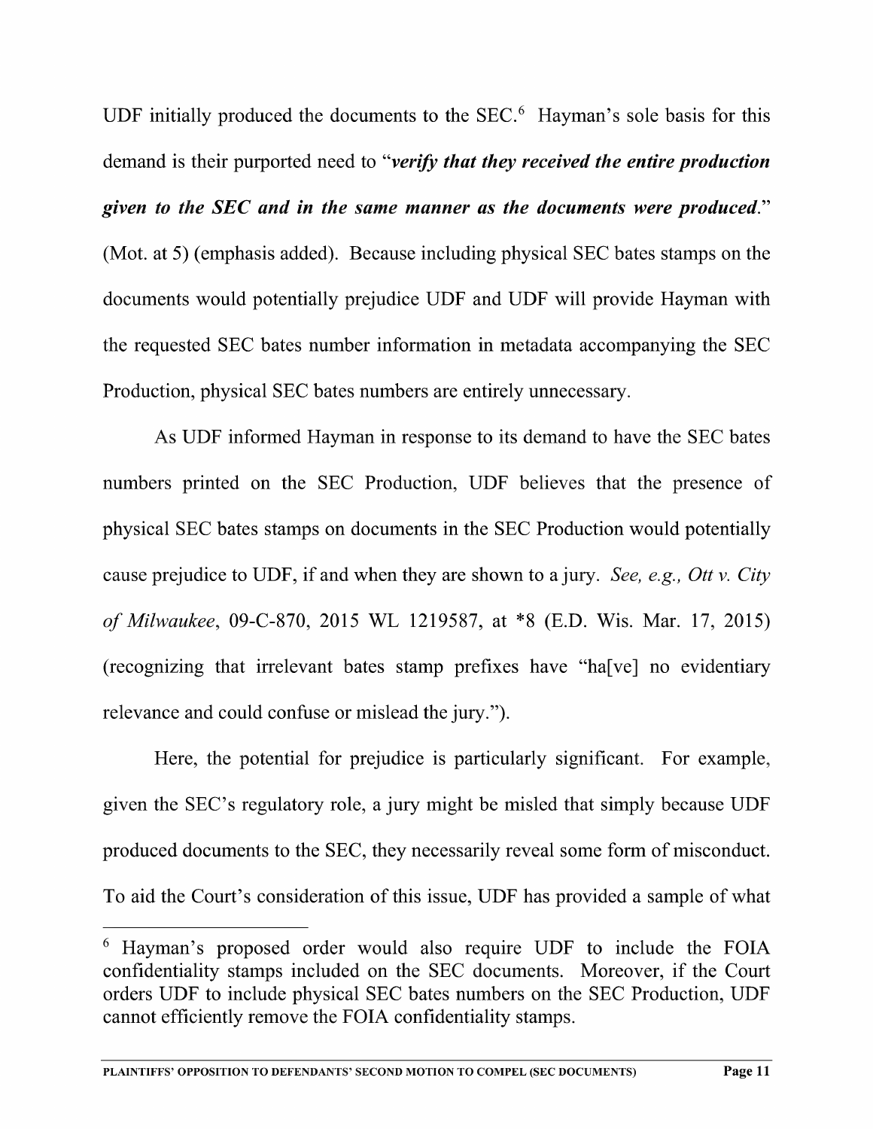UDF initially produced the documents to the  $SEC.6$  Hayman's sole basis for this demand is their purported need to "*verify that they received the entire production* given to the SEC and in the same manner as the documents were produced." (Mot. at 5) (emphasis added). Because including physical SEC bates stamps on the documents would potentially prejudice UDF and UDF will provide Hayman with the requested SEC bates number information in metadata accompanying the SEC Production, physical SEC bates numbers are entirely unnecessary.

As UDF informed Hayman in response to its demand to have the SEC bates numbers printed on the SEC Production, UDF believes that the presence of physical SEC bates stamps on documents in the SEC Production would potentially cause prejudice to UDF, if and when they are shown to a jury. See, e.g., Ott v. City of Milwaukee, 09-C-870, <sup>2015</sup> WL 1219587, at \*8 (E.D. Wis. Mar. 17, 2015) (recognizing that irrelevant bates stamp prefixes have "ha[ve] no evidentiary relevance and could confuse or mislead the jury.").

Here, the potential for prejudice is particularly significant. For example, given the SEC's regulatory role, a jury might be misled that simply because UDF produced documents to the SEC, they necessarily reveal some form of misconduct. To aid the Court's consideration of this issue, UDF has provided a sample of what

<sup>&</sup>lt;sup>6</sup> Hayman's proposed order would also require UDF to include the FOIA confidentiality stamps included on the SEC documents. Moreover, if the Court orders UDF to include physical SEC bates numbers on the SEC Production, UDF cannot efficiently remove the FOIA confidentiality stamps.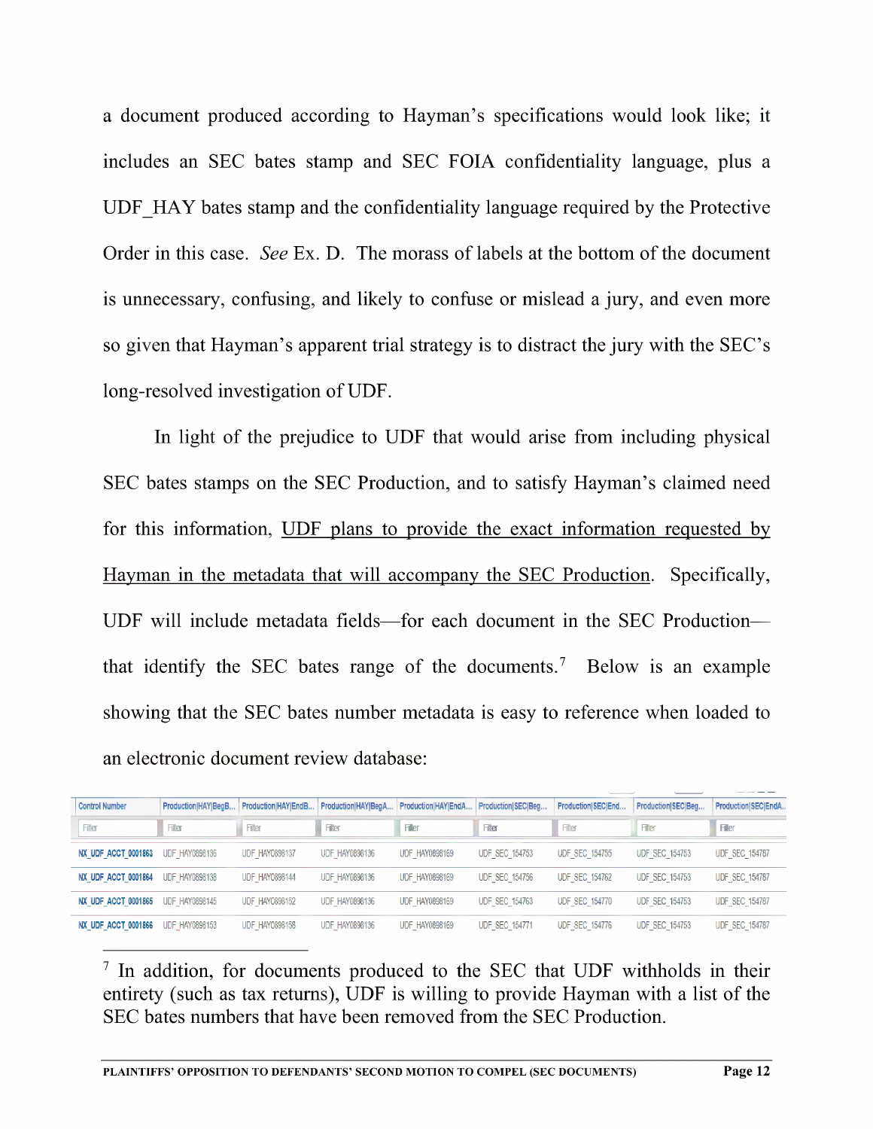document produced according to Hayman's specifications would look like; it includes an SEC bates stamp and SEC FOIA confidentiality language, plus UDF\_HAY bates stamp and the confidentiality language required by the Protective Order in this case. See Ex. D. The morass of labels at the bottom of the document is unnecessary, confusing, and likely to confuse or mislead a jury, and even more so given that Hayman's apparent trial strategy is to distract the jury with the SEC's long-resolved investigation of UDF.

In light of the prejudice to UDF that would arise from including physical SEC bates stamps on the SEC Production, and to satisfy Hayman's claimed need for this information, UDF plans to provide the exact information requested bv Havman in the metadata that will accompany the SEC Production. Specifically, UDF will include metadata fields—for each document in the SEC Production that identify the SEC bates range of the documents.<sup>7</sup> Below is an example showing that the SEC bates number metadata is easy to reference when loaded to an electronic document review database:

| <b>Control Number</b> | Production HAY Beg B  | Production HAYIEndB   | Production HAY BegA   | Production HAY EndA   | Production SECIBea    | Production SECIEnd    | Production SEC Beg    | Production SEC EndA   |
|-----------------------|-----------------------|-----------------------|-----------------------|-----------------------|-----------------------|-----------------------|-----------------------|-----------------------|
| Filter                | Filter                | Filter                | Filter                | <b>Filer</b>          | Filter                | Filter                | Filter                | <b>Fler</b>           |
|                       |                       |                       |                       |                       |                       |                       |                       |                       |
| NX UDF ACCT 0001863   | <b>UDF HAY0898136</b> | <b>UDF HAY0898137</b> | <b>UDF HAY0898136</b> | <b>UDF HAY0898169</b> | <b>UDF SEC 154753</b> | <b>UDF SEC 154755</b> | <b>UDF SEC 154753</b> | <b>UDF SEC 154787</b> |
| NX UDF ACCT 0001864   | <b>UDF HAY0898138</b> | <b>UDF HAY0898144</b> | <b>UDF HAY0898136</b> | <b>UDF HAY0898169</b> | <b>UDF SEC 154756</b> | <b>UDF SEC 154762</b> | <b>UDF SEC 154753</b> | <b>UDF SEC 154787</b> |
| NX UDF ACCT 0001865   | <b>UDF HAY0898145</b> | <b>UDF HAY0898152</b> | <b>UDF HAY0898136</b> | <b>UDF HAY0898169</b> | <b>UDF SEC 154763</b> | <b>UDF SEC 154770</b> | <b>UDF SEC 154753</b> | <b>UDF SEC 154787</b> |
| NX UDF ACCT 0001866   | UDF HAY0898153        | <b>UDF HAY0898158</b> | <b>UDF HAY0898136</b> | <b>UDF HAY0898169</b> | <b>UDF SEC 154771</b> | <b>UDF SEC 154776</b> | <b>UDF SEC 154753</b> | <b>UDF SEC 154787</b> |

 $\frac{7}{1}$  In addition, for documents produced to the SEC that UDF withholds in their entirety (such as tax returns), UDF is willing to provide Hayman with a list of the SEC bates numbers that have been removed from the SEC Production.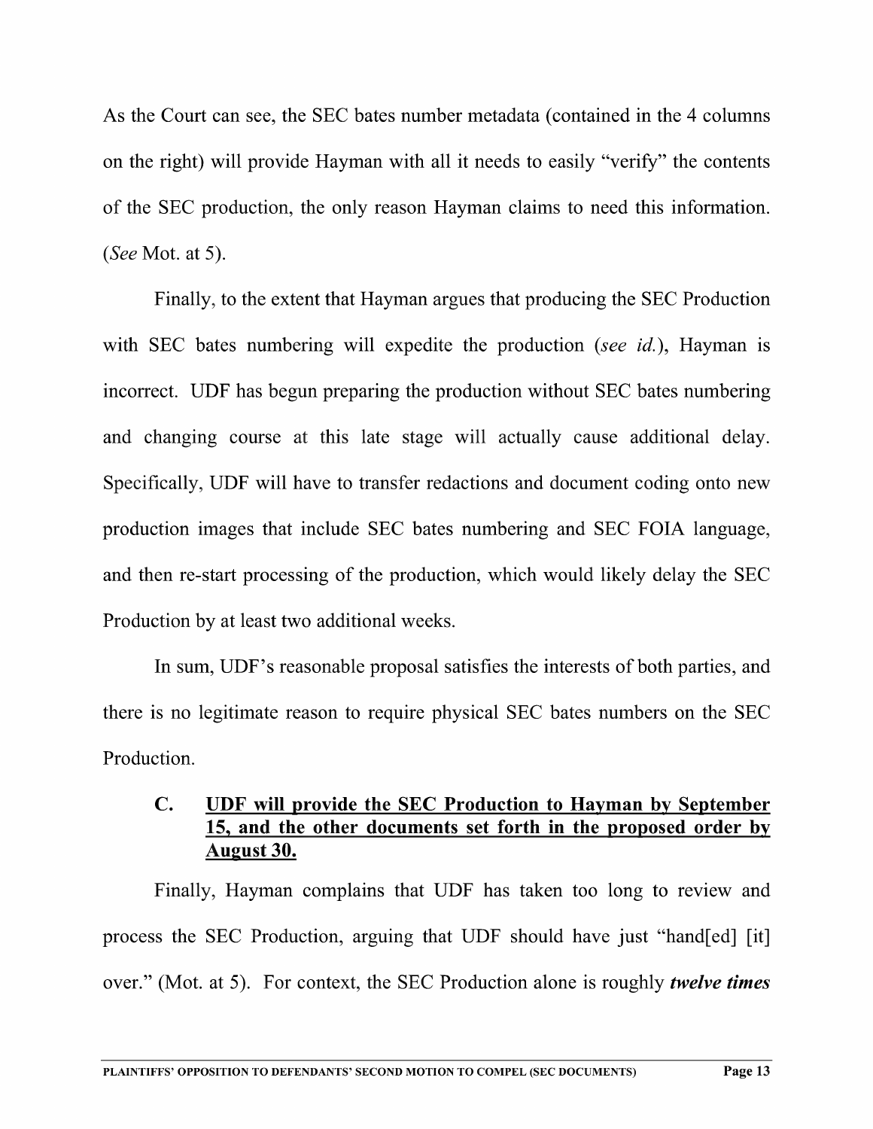As the Court can see, the SEC bates number metadata (contained in the 4 columns on the right) will provide Hayman with all it needs to easily "verify" the contents of the SEC production, the only reason Hayman claims to need this information. (See Mot. at 5).

Finally, to the extent that Hayman argues that producing the SEC Production with SEC bates numbering will expedite the production (see id.), Hayman is incorrect. UDF has begun preparing the production Without SEC bates numbering and changing course at this late stage will actually cause additional delay. Specifically, UDF will have to transfer redactions and document coding onto new production images that include SEC bates numbering and SEC FOIA language, and then re-start processing of the production, which would likely delay the SEC Production by at least two additional weeks.

In sum, UDF's reasonable proposal satisfies the interests of both parties, and there is no legitimate reason to require physical SEC bates numbers on the SEC Production.

# C. UDF will provide the SEC Production to Hayman by September 15. and the other documents set forth in the proposed order by August 30.

Finally, Hayman complains that UDF has taken too long to review and process the SEC Production, arguing that UDF should have just "hand[ed] [it] over." (Mot. at 5). For context, the SEC Production alone is roughly *twelve times*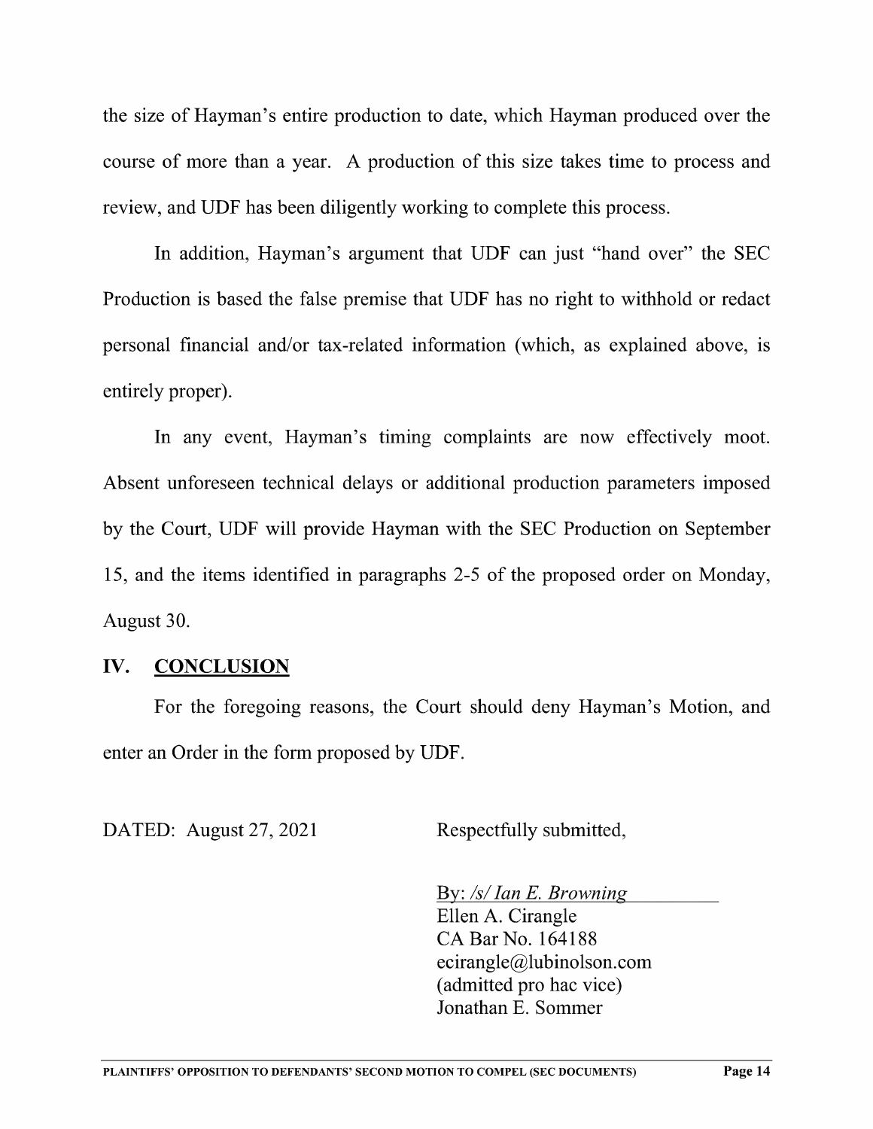the size of Hayman's entire production to date, which Hayman produced over the course of more than a year. A production of this size takes time to process and review, and UDF has been diligently working to complete this process.

In addition, Hayman's argument that UDF can just "hand over" the SEC Production is based the false premise that UDF has no right to withhold or redact personal financial and/or tax-related information (which, as explained above, is entirely proper).

In any event, Hayman's timing complaints are now effectively moot. Absent unforeseen technical delays or additional production parameters imposed by the Court, UDF will provide Hayman with the SEC Production on September 15, and the items identified in paragraphs 2-5 of the proposed order on Monday, August 30.

## IV. CONCLUSION

For the foregoing reasons, the Court should deny Hayman's Motion, and enter an Order in the form proposed by UDF.

DATED: August 27, 2021 Respectfully submitted,

By: /s/Ian E. Browning

Ellen A. Cirangle CA Bar No. <sup>164188</sup> ecirangle@lubinolson.com (admitted pro hac vice) Jonathan E. Sommer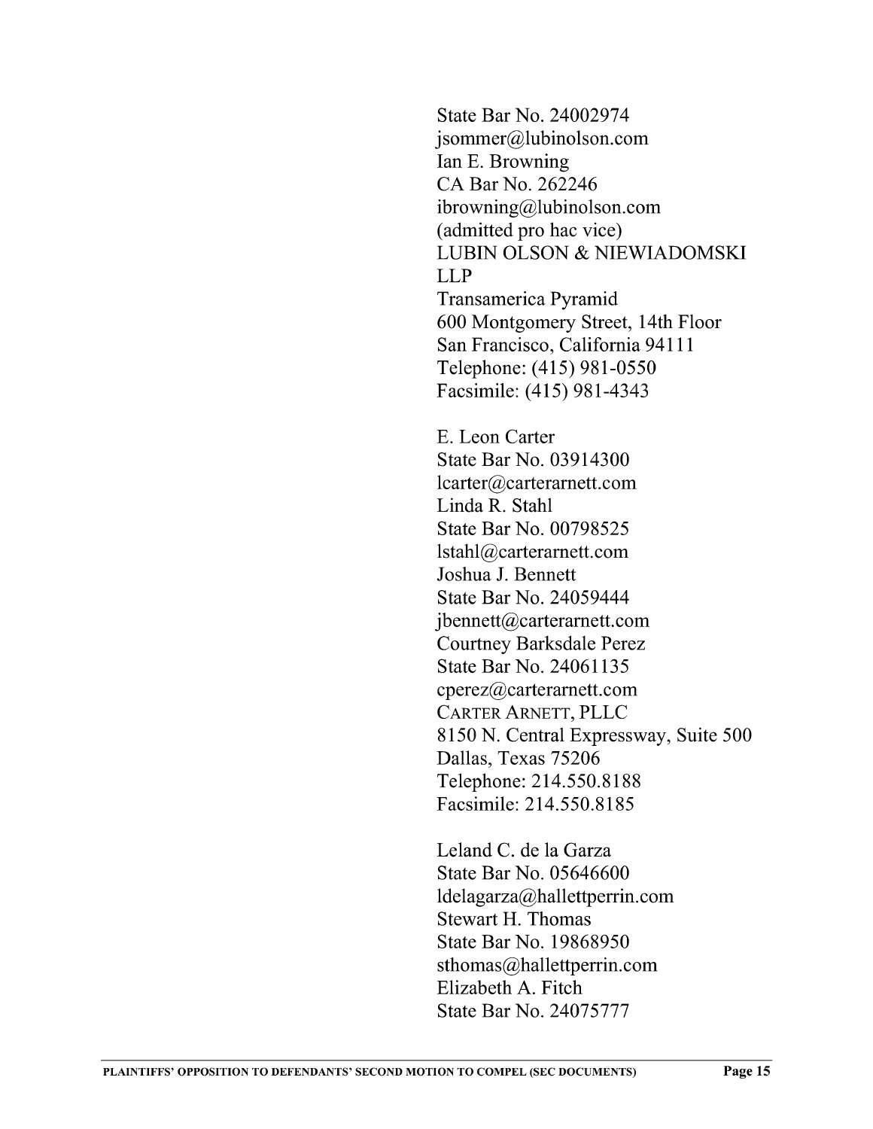State Bar No. 24002974 jsommer@lubinolson.com<br>Ian E. Browning CA Bar No. 262246 ibrowning@lubinolson.com<br>(admitted pro hac vice) LUBIN OLSON & NIEWIADOMSKI LLP Transamerica Pyramid 600 Montgomery Street, 14th Floor San Francisco, California 94111 Telephone: (415) 981-0550 Facsimile: (415) 981-4343

E. Leon Carter State Bar No. 03914300 1carter@carteramett.com Linda R. Stahl State Bar No. 00798525 lstah1@carterarnett.com Joshua J. Bennett State Bar No. 24059444 jbennett@carteramett.com Courtney Barksdale Perez State Bar No. 24061135 cperez@carteramett.com CARTER ARNETT, PLLC 8150 N. Central Expressway, Suite 500 Dallas, Texas 75206 Telephone: 214.550.8188 Facsimile: 214.550.8185

Leland C. de 1a Garza State Bar No. 05646600 ldelagarza@hallettperrin.com Stewart H. Thomas State Bar No. 19868950 sthomas@hallettperrin.com Elizabeth A. Fitch State Bar No. 24075777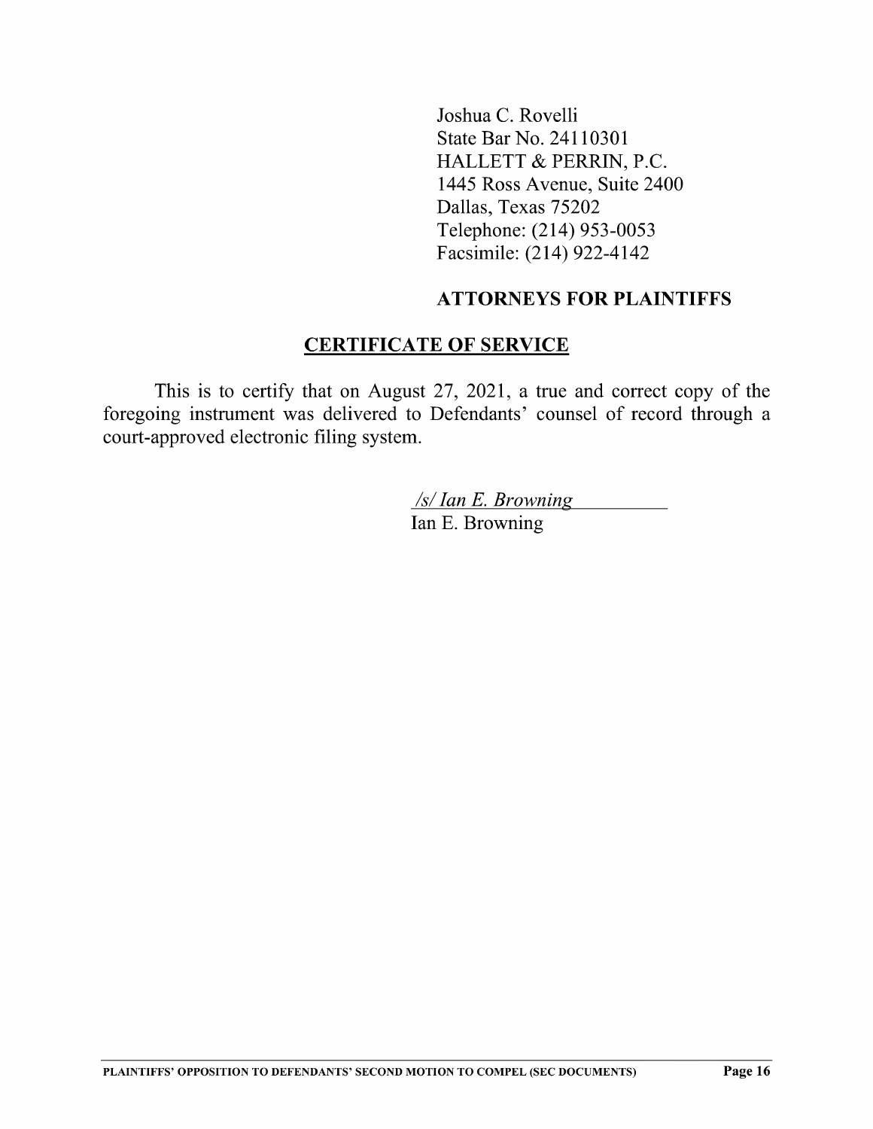Joshua C. Rovelli State Bar No. 24110301 HALLETT & PERRIN, P.C. 1445 Ross Avenue, Suite 2400 Dallas, Texas 75202 Telephone: (214) 953—0053 Facsimile: (214) 922-4142

### ATTORNEYS FOR PLAINTIFFS

### CERTIFICATE OF SERVICE

This is to certify that on August  $27$ ,  $2021$ , a true and correct copy of the foregoing instrument was delivered to Defendants' counsel of record through court-approved electronic filing system.

> /s/Ian E. Browning Ian E. Browning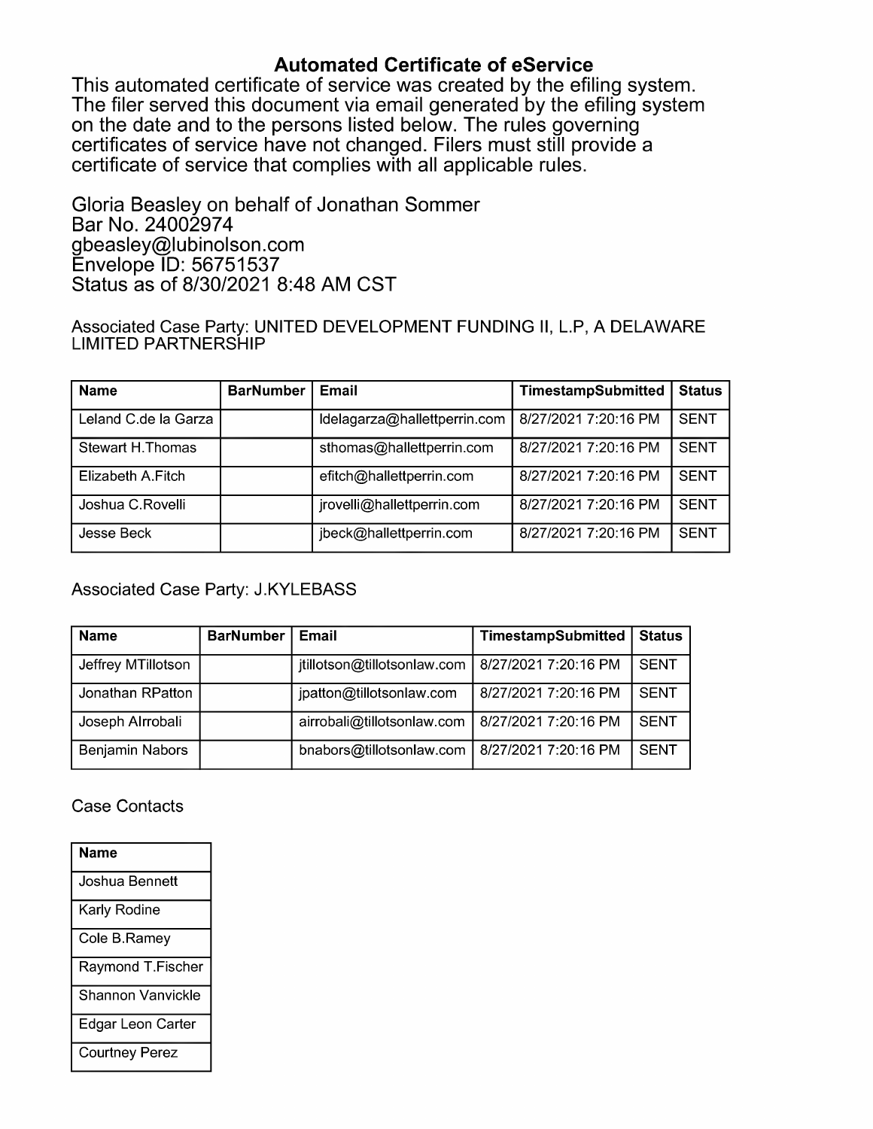Automated Certificate of eService<br>This automated certificate of service was created by the efiling system. The filer served this document via email generated by the efiling system. on the date and to the persons listed below. The rules governing certificates of service have not changed. Filers must still provide a certificate of service that complies with all applicable rules.

Gloria Beasley on behalf of Jonathan Sommer Bar No. <sup>24002974</sup> gbeasley@lubinolson.com Envelope ID: 56751537 Status as of 8/30/2021 8:48 AM CST

Associated Case Party: UNITED DEVELOPMENT FUNDING II, L.P, A DELAWARE LIMITED PARTNERSHIP

| <b>Name</b>          | <b>BarNumber</b> | Email                        | TimestampSubmitted   | <b>Status</b> |
|----------------------|------------------|------------------------------|----------------------|---------------|
| Leland C.de la Garza |                  | Idelagarza@hallettperrin.com | 8/27/2021 7:20:16 PM | <b>SENT</b>   |
| Stewart H. Thomas    |                  | sthomas@hallettperrin.com    | 8/27/2021 7:20:16 PM | <b>SENT</b>   |
| Elizabeth A.Fitch    |                  | efitch@hallettperrin.com     | 8/27/2021 7:20:16 PM | <b>SENT</b>   |
| Joshua C.Rovelli     |                  | jrovelli@hallettperrin.com   | 8/27/2021 7:20:16 PM | <b>SENT</b>   |
| Jesse Beck           |                  | jbeck@hallettperrin.com      | 8/27/2021 7:20:16 PM | <b>SENT</b>   |

Associated Case Party: J.KYLEBASS

| <b>Name</b>        | <b>BarNumber</b> | Email                       | TimestampSubmitted   | <b>Status</b> |
|--------------------|------------------|-----------------------------|----------------------|---------------|
| Jeffrey MTillotson |                  | jtillotson@tillotsonlaw.com | 8/27/2021 7:20:16 PM | <b>SENT</b>   |
| Jonathan RPatton   |                  | jpatton@tillotsonlaw.com    | 8/27/2021 7:20:16 PM | <b>SENT</b>   |
| Joseph Alrrobali   |                  | airrobali@tillotsonlaw.com  | 8/27/2021 7:20:16 PM | <b>SENT</b>   |
| Benjamin Nabors    |                  | bnabors@tillotsonlaw.com    | 8/27/2021 7:20:16 PM | <b>SENT</b>   |

#### Case Contacts

| Name                  |
|-----------------------|
| Joshua Bennett        |
| Karly Rodine          |
| Cole B.Ramey          |
| Raymond T.Fischer     |
| Shannon Vanvickle     |
| Edgar Leon Carter     |
| <b>Courtney Perez</b> |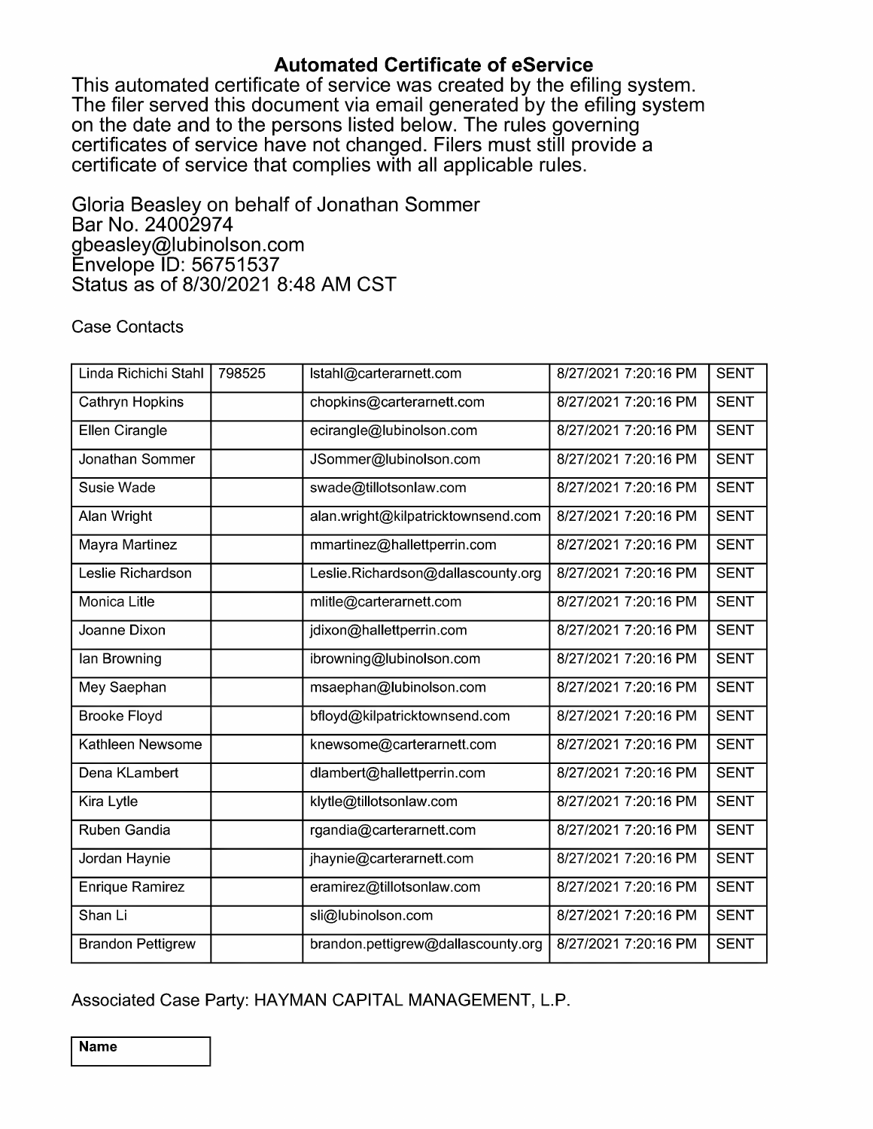**Automated Certificate of eService**<br>This automated certificate of service was created by the efiling system. The filer served this document via email generated by the efiling system. on the date and to the persons listed below. The rules governing certificates of service have not changed. Filers must still provide a certificate of service that complies with all applicable rules.

Gloria Beasley on behalf of Jonathan Sommer Bar No. <sup>24002974</sup> gbeasley@lubinolson.com Envelope ID: 56751537 Status as of 8/30/2021 8:48 AM CST

### Case Contacts

| Linda Richichi Stahl     | 798525 | Istahl@carterarnett.com            | 8/27/2021 7:20:16 PM | <b>SENT</b> |
|--------------------------|--------|------------------------------------|----------------------|-------------|
| Cathryn Hopkins          |        | chopkins@carterarnett.com          | 8/27/2021 7:20:16 PM | <b>SENT</b> |
| <b>Ellen Cirangle</b>    |        | ecirangle@lubinolson.com           | 8/27/2021 7:20:16 PM | <b>SENT</b> |
| Jonathan Sommer          |        | JSommer@lubinolson.com             | 8/27/2021 7:20:16 PM | <b>SENT</b> |
| Susie Wade               |        | swade@tillotsonlaw.com             | 8/27/2021 7:20:16 PM | <b>SENT</b> |
| Alan Wright              |        | alan.wright@kilpatricktownsend.com | 8/27/2021 7:20:16 PM | <b>SENT</b> |
| Mayra Martinez           |        | mmartinez@hallettperrin.com        | 8/27/2021 7:20:16 PM | <b>SENT</b> |
| Leslie Richardson        |        | Leslie.Richardson@dallascounty.org | 8/27/2021 7:20:16 PM | <b>SENT</b> |
| <b>Monica Litle</b>      |        | mlitle@carterarnett.com            | 8/27/2021 7:20:16 PM | <b>SENT</b> |
| Joanne Dixon             |        | jdixon@hallettperrin.com           | 8/27/2021 7:20:16 PM | <b>SENT</b> |
| lan Browning             |        | ibrowning@lubinolson.com           | 8/27/2021 7:20:16 PM | <b>SENT</b> |
| Mey Saephan              |        | msaephan@lubinolson.com            | 8/27/2021 7:20:16 PM | <b>SENT</b> |
| <b>Brooke Floyd</b>      |        | bfloyd@kilpatricktownsend.com      | 8/27/2021 7:20:16 PM | <b>SENT</b> |
| Kathleen Newsome         |        | knewsome@carterarnett.com          | 8/27/2021 7:20:16 PM | <b>SENT</b> |
| Dena KLambert            |        | dlambert@hallettperrin.com         | 8/27/2021 7:20:16 PM | <b>SENT</b> |
| Kira Lytle               |        | klytle@tillotsonlaw.com            | 8/27/2021 7:20:16 PM | <b>SENT</b> |
| Ruben Gandia             |        | rgandia@carterarnett.com           | 8/27/2021 7:20:16 PM | <b>SENT</b> |
| Jordan Haynie            |        | jhaynie@carterarnett.com           | 8/27/2021 7:20:16 PM | <b>SENT</b> |
| <b>Enrique Ramirez</b>   |        | eramirez@tillotsonlaw.com          | 8/27/2021 7:20:16 PM | <b>SENT</b> |
| Shan Li                  |        | sli@lubinolson.com                 | 8/27/2021 7:20:16 PM | <b>SENT</b> |
| <b>Brandon Pettigrew</b> |        | brandon.pettigrew@dallascounty.org | 8/27/2021 7:20:16 PM | <b>SENT</b> |

Associated Case Party: HAYMAN CAPITAL MANAGEMENT, L.P.

Name